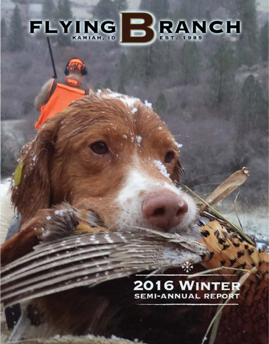# FLYING BRANCH

## 2016 WINTER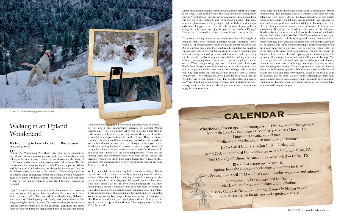Wingshooting Season open now through April 15th; call for Spring specials! Mountain Lion Season opened December 2nd, closes March 31st, Limited date available; call now! Steelhead Fishing Season open now through February Dallas Safari Club: see us Jan 7-10 in Dallas, TX Safari Club International Convention: see us Feb 3-6 in Las Vegas, NV Park Cities Quail Dinner & Auction: see us March 3 in Dallas, TX Black Bear season opens April 1st options from the lodge and backcountry, 1/2 price for kids! Turkey Season open April 15-May 25, ask about combos with bear and salmon! Salmon Fishing Season expected late Spring check with us for set season dates and regulations Osprey Camp Backcountry Cutthroat Trout Fly-Fishing Season

July–August, great for all ages and experience levels!

## **CALENDAR**

## Walking in an Upland Wonderland

#### It's beginning to look a lot like…. Bird season By Karen L. Syron

Winter?... Wingshooting?... Those who have never experienced mild climate winter wingshooting may think these two words just don't belong in the same sentence. Now, I'm not discounting the magic of traditional wingshooting over fine dogs on a crisp Fall morning. The Fall is spectacular for wingshooting; that is why I'm not comparing. Winter and Fall in terms of wingshooting are like apples and oranges; they are for different tastes, but each has its benefits. The exciting adventure of wingshooting's challenging terrain can continue beyond November. Take a few minutes to think outside "the season" and learn that there is plenty of fun and adventure to be had afield, beyond Thanksgiving weekend.

what adventures can be had in December, January, February, and on.... It's not just a time management incentive to consider Winter wingshooting. There is a beauty all its own to seeing a bird flush in early morning sunlight above glistening, frosted wheatgrass. It really is a beautiful time of year to be afield. At the Flying B Ranch we have a committed list of annual Winter wingshooters who have discovered and loved this bird hunter's best-kept secret. (Sorry to those of you on that list who are reading this, but it's a secret too good to keep). Several of our guides will say "Winter" when asked what their favorite season is, and often that is because of the cooler temperatures. When they are hunting varied and sometimes steep terrain daily, the heat can be very draining. And, if you like to hunt varied terrain like we have at FBR, you know that you never have to worry about being cold on the hunt; 40 degrees is ideal.

If you're an avid wingshooter you know the dilemma of Fall… so many hunts on your mind, yet, so little time during the season to fit them all in… what to do?!? Then you add in work schedules, Halloween with your kids, Thanksgiving with family, and you realize that Fall wingshooting is a limited resource. Yes, there are some species and areas that can only be hunted in a short Fall season. Plan those first, check them off your list during the high demand days of Fall and then look at

We live in a mild climate with very little snow accumulation. Winter doesn't necessarily even mean you will encounter any snow here during a hunt. Often when we have a dusting of snow it is enough to give us that seasonal charm, to highlight the jagged points of the canyon walls, but it doesn't last the day even without melting off. So, when thinking snow, picture a dusting to hold good bird scent or enough to leave a boot track; we're not talking hunting with snowshoes or anything. There are many places that accumulate too much snow for enjoyable Winter wingshooting, but Lawyers Canyon is not one of those places. Our December and January average highs are close to 40 degrees with lows in the mid to upper 20's and snow fall averaging a total of about 2" for the month.

in the lodge. Chef Ryan keys into the season by incorporating hearty gourmet "comfort food" into the menu with lunches like pheasant lentil chili (see the recipe included) and warm bread pudding. The great room's fireplace warms the lodge day to night with the crackles, snaps, and aroma of sappy red fir. If you have the pleasure of being in-house during December, you can enjoy the glow of our hand-cut Flying B Christmas tree centered in the great room while you relax by the fire. If you have a young hunter in your family, you know the struggle of trying to make those hunting memories without disrupting school schedules. Therein lies another reason to look to Winter holiday breaks. One of our long-time guests from California began taking his daughter wingshooting with us over winter breaks as a teenager, continued that tradition through her college years, and this winter will be coming with her and her husband, when school schedules no longer have any influence on hunting dates. The reason… because they have come to love the Winter wingshooting experience. Another pair of doctors/ friends from Georgia formerly hunted with us in October every year until an important family event made them change their dates one year. On short notice, Fall was full, so they moved to early December for that year. They enjoyed the slower-paced lodge so much that this December will be their third in a row. This just shows that you may go to a Winter bird hunt for a practical reason of time and dates, but don't be surprised if you find yourself choosing to stay a Winter wingshooter simply because you enjoy it.

Winter wingshooting means colder hunts, but added warmth and charm In the lodge and in the field, there is something so special about Winter wingshooting. The landscape takes on a whimsical feel while the lodge defines the word "cozy." One of the things that allows us high quality winter wingshooting is the full time, year-round staff. We can offer the same professional guides and well-trained dogs in January as we do in October. Many who come in winter come for reasons of efficiency and also solitude. If you "get away" to hunt either alone or with colleagues, friends, or family, you may not be looking for the bustle of a full lodge that you find in the peak of the Fall. The Winter offers a slower-paced lodge atmosphere with typically fewer guests in house. Looking to add a winter hunt may allow you a second experience with clients rather than just one annual trip. Time builds relationships, and fewer guests on your trip means more one-on-one time. But, to swing two sets of dates out of the office in the same eight week period of Fall may be tough with demands of the business. Consider splitting your entertaining list of 20 by taking 10 guests in October and another 10 guests in January. You take the pressure off your work schedule and offer your avid hunting clients an adventure that comes during a time of year they are not taking several hunting trips already. You may get more of those avid hunting clients available to participate in a Winter trip and you double the oneon-one time with each guest over what you would if you took all 20 in one packed 3 day Fall hunt. We know your relationships are important. Winter hunting may provide you more time to cultivate those important relationships- that time spent together in pursuit of fast-flushing birds over a frosted Lawyers Canyon.



Photos: Ed Carroll/Shooting Sportsman Magazine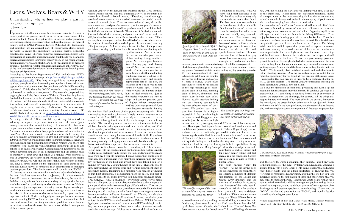## Lions, Wolves, Bears & WHY

Understanding why & how we play a part in predator management By Jeremi Syron

If you are an ethical hunter, you are therein a conservationist. As hunters, we are part of the process, directly involved in the conservation of the species we hunt. Many of us get involved in societies and organizations focused on specific species conservation or those that protect the rights of hunters, such as RMEF, Pheasants Forever, SCI, DSC, etc. Fundraising and education are an essential part of conservation efforts around the world to ensure the opportunity to pursue healthy, sustainable populations of game. There are numerous organizations dedicated to the preservation of ungulates and upland game, but little do you hear about organizations dedicated to predator conservation. In our region we hunt mountain lion, wolves, and black bears, all of which need to be managed as part of the state's predator management plans and inherently as part of the state's conservation efforts of the numerous game that fall prey to these powerful predators.

According to the Idaho Department of Fish and Game's (IDFG) predator management homepage at http://www.idfg.idaho.gov/public/ wildlife/?getPage=325, "The long-term goal is to reduce predator numbers enough to allow increased game numbers, increased harvest opportunities, and to maintain viable populations of all wildlife, including predators." This is where the "WHY" comes in… why should hunters be involved in predator management? The research completed (and ongoing) by our Idaho Department of Fish and Game is so lengthy and detailed that it cannot be reviewed in this article, but, in short, their years of continued wildlife research in the field has confirmed that mountain lion, wolves, and bears all substantially contribute to the mortality of ungulates in our area, particularly of elk calves. You can download pdf documents of research studies on a variety of species from IDFG's Wildlife Technical Reports site at https://collaboration.idfg.idaho.gov/ WildlifeTechnicalReports/Forms/AllItems.aspx.

According to the 2013 Statewide Elk Report, they determined the following in regards to predator issues in our Lolo Zone (game management unit that we outfit within)…..In most of the Clearwater Region, mountain lion harvest levels have decreased over the last decade. Anecdotal data would indicate lion populations have followed suit in the Lolo Zone. Black bear harvest remained somewhat stable through the last two decades, averaging between 100 and 150 bears per year until 1998 when greatly liberalized seasons led to dramatic increases in harvest. However, black bear population performance remains well above plan objectives. Wolf packs are well-established throughout the zone and appear to be stable or increasing. Current research indicates wolves are having increased impacts on elk demographics and the leading cause of mortality of adult cows and calves  $\geq 6$  months. (\*\*see reference at end) If you review the research on other ungulate species, or the specific predator surveys, you will find the same trend, that research confirms they have a direct impact on the population of those game species and that human harvest of predators is an essential part of managing predator populations. That is where you and I come in - the "HOW". No denying as hunters we enjoy the pursuit; we enjoy the challenge of the hunt. We don't venture out into the January cold to hunt mountain lion as if it were a chore to us. We enjoy the challenge, the hunt for a fresh lion track, to let our hounds loose and try to keep up with them, to watch them work so passionately at what they were born to do. We hunt because we enjoy the experience. Knowing that we play an essential part in what the state outlines as sound predator management is the icing on the cake. It gives meaning to what we as hunters do, beyond our hunt experience in itself. Understanding why we hunt predators is important to understanding HOW we hunt predators. Since mountain lion, black bear, and wolves have essentially no natural predators besides humans means that we will use the most effective means available to us in pursuit of these elusive species.

with far from ideal conditions of dry ground or pouring rain. Tools have evolved from radio collars and H-style antenna receivers to our chosen Garmin Astro GPS collars that help us to stay connected to our hounds and fellow guides in the field, even in steep terrain or heavy snowfall. The one thing we can count on every lion season is that we will have hounds with eager noses and hunters with drive, and if all comes together, we will have lions in the tree. Outfitting in an area with a healthy lion population and a vast amount of country to hunt, we have been fortunate to see many hunters successful in the field. If you have been one of those successful hunters you know that lion hunts are one of the most physically challenging hunts you can do, but therein lies part of that once-in-a-lifetime experience that we as hunters search for.

Again, if you review the harvest data available on the IDFG technical reports website you will find that approximately ¾ of mountain lion harvest is attributed to hound hunting. Therefore, hound hunting is permitted in our zone and is the method we use on our guided hunts in pursuit of mountain lions. If you are an experienced deer, elk, or bird hunter even you could probably count on your fingers (probably even on one hand) how many mountain lions you have seen in your life while in the field without the use of hounds. The matter of fact is that mountain lions are highly elusive creatures, and your chances of seeing one in the wild, let alone harvesting one, without hounds is slim to none. This is not surprising when you consider how skilled of predators they are and the number of ungulates (deer and elk primarily in our area) that they kill in just one year. As I am writing this, our first lion of the year was just taken yesterday by a hunter from Texas, with his non-hunting wife



success contender), averaging around 80% success of harvesting one bear. Hunting over bait is great for success odds and also for novice and youth hunters (minimum age to hunt in Idaho is 10 yrs of age) because it allows them to be comfortably prepared for their shot. It's not to say that seeing a beautiful black bear amble into the bait won't create a case of "buck fever", but, at least, a new hunter won't have to also contend with quickly finding a comfortable shooting stance, being unsure of what lies behind the target, or having just huffed it up a hill and being sorely out of breath. Being "set-up" before the animal presents itself contributes to odds of success and for a new hunter getting that first animal is a big confidence booster, and is often all it takes to create a

right by his side. And the scene at the tree was not what you envision of lion hunting. Happy and tired guides? Yes. Even happier hunters? Yes. Tail-wagging and baying

hound? Yes. But snow?... not a speck. Pouring rain, yes, but no snow. Snow is ideal for lion hunting conditions because it allows us to locate tracks clearly and identify approximate size of the lion, the freshness of the track (was it here hours or weeks ago). Snow is what we want, but hunters seldom hunt in ideal conditions. Just as and then return to feed off that carcass the species we pursue, we learn to for days. This cached deer was found adapt, and over the past few years *in pursuit of a mountain lion harvested* of higher winter temperatures and less than-average snowfall, we have become successful hunting

We'll save the discussion on bear meat processing and Ryan's tips for mountain lion roasting for after the harvest. If you have yet to go on a predator hunt, it is something to consider, for reasons of enjoyment of course, the experience, the challenge, the pursuit….all the things that keep us hunters in the field. The more effort in the pursuit, the sweeter the reward, and the better the hunt tale to write in your journal. Factor in the reasons WHY we hunt predators, and the essential part that you play in the ecologically sound management of the predator population,

hound on the Flying B team, bays to specific hunts at this time. The most successful form of harvest for gray *keep a lion treed on a steep, snow-free Jeremi Syron's blue tick hound "Big B" along-side "Seven", an all-star walker mountain side.*

 As a guide for lion hunts, I own three hounds myself. These hounds were in mind with the construction of our home, getting custom kennels, regular invites on family walks though the field, and probably too many treats from my 3 year old daughter. I began guiding lion hunts over 15 years ago, have pursued and treed many lions in training and on "game day" for hunters in the field, and myself have only taken 1 lion (on a training day with my 2 young hounds at the time). That only goes to show that watching the hounds work and working alongside them is an experience in itself. Hanging a lion mount in your home is a reminder of that hunt experience, a conversation piece for guests, and best of all… an excuse to tell and re-live your lion hunt story again and again. Gray wolves…. What a challenge. Everything about wolves makes them a challenge to us as hunters because they have such an impact on game populations and are so exceedingly difficult to hunt. They are the most powerful predators that our game has to contend with in the field. Running in packs, wolves can take down large, mature game animals that mountain lions and bears alone could not. Working in packs since their reintroduction in 1995, wolf numbers far exceed population goals set forth by the IDFG and the United States Fish and Wildlife Service. Again, you can review technical reports on the IDFG website, in which they document population size based on a variety of survey methods, particularly aerial surveys. Wolves are extremely difficult to hunt for





was recorded on our game camera at a hunt you could hunt a different *This beautiful color phased black bear productive bait location this Spring*

have found most successful in the field is calling wolves in using only our mouths to mimic their howl. This has been more successful for us than the use of electronic calls. Our hunter harvest of wolves has been in conjunction with other hunts such as elk, deer, mountain lion, or bear. Bear hunters may encounter wolves at bear baits, and harvest of wolves incidental to bear baiting is permitted in our region. However, we do not offer wolf wolves has been trapping, another example of traditional methods

providing solutions to current challenges of wildlife management. Black bears are plentiful in our region, thus the 2 bear limit and reduced tag, prices. As an out-of-state hunter, finding any big game tag priced at

we offer (deer being another high

a multitude of reasons. What we raft, with me holding the oars and you holding your rifle, is all part of the experience. Horse riders can experience traditional means of transportation on the hunt, venturing far into the mountains atop trained mountain horses and mules, in the company of pack animals with panniers carrying fresh bait for the destination.

hunter for life.

But, don't mistake "bait" for "boring." As the old saying goes, the experience is in the getting there. We operate a number of different bait locations off the Lochsa and Selway River drainages and use a variety of methods in accessing them because of the varied terrain we outfit in. Within a five day bear bait with a different mountain view every day. These different baits are

accessed by means of atv, walking, horseback riding, and even river raft. During any given week I can take a black bear hunter into the field by all these means. Crossing the Lochsa River ("Lochsa" being Nez Perce native language for "rough water") in a self-bailing whitewater

\$41.75 is almost unheard of… and to be able to get 2 over-the-counter (no worries of drawing odds)… yes, it's hard to believe. Many black bear hunters come to us because of the high percentage of colorphased bears in our area, meaning bears of brown, cinnamon, and rarely even blonde coat color. Hunters usually associate baiting with bear hunting because it is the most effective means of bear harvest. We conduct bear hunts over bait because it is highly successful. In fact, bear hunting is our most successful big game hunt *near one of our bear baits in 2014*

For those who can't and/or don't want to sit still at a bait, black bear can also be hunted by means of spot and stalk early in the season before vegetation becomes too tall and thick. Beginning April 1st we offer spot and stalk black bear hunts in the Selway Wilderness. If you enjoy backcountry hunting, put this on your bucket list. There is a reason that we have hunters who have been successful in this wilderness camp the first year and have come back the next 3 years. The Selway Wilderness is beautiful beyond description and to experience remote, traditional hunting in the wilderness of Idaho is a once-in-a-lifetime hunt opportunity. Factor in high success and the same reduced tags and this hunt is a no-brainer. Methods for success on spot and stalk hunts are inherent in the term. We hike to a good vantage point and get out the optics. We can glass hillsides for hours in search of the bear you're looking for with a combination of high powered binoculars and spotting scopes. Once we find the bear you're looking for, it's on to the "stalk". We do exactly that - establish a route and stalk that bear to within shooting distance. Once we are within range we watch for the right shot opportunity for you to put all your practice at the range to use. It is suggested that you practice in order to be a confident shooter out to 300 yards if possible. The farther you are comfortable shooting, the more opportunity you may have for a shot.

and, therefore, the game populations they impact… and it only adds to the importance of the hunt. By taking a mountain lion, you have a lifetime trophy with a story to tell, a wild-game offering that will amaze your dinner guests, and the added satisfaction of knowing that you were part of responsible management, and that the one lion you took inherently supports the population of deer and other game that you may come to hunt another day. I encourage you to be more than just a hunter, to be involved with wildlife management public meetings in your home/ hunting area, and to read about your state's management plans for the game and predator species you enjoy hunting. Understand the "WHY", practice and prepare for the "HOW", and proudly describe yourself as a hunting conservationist.

\*\*Idaho Department of Fish and Game, Virgil Moore, Director, Statewide Report 2013: Elk, Study 1, Job 1, July 1, 2012-June 30, 2013, pg. 18

*Mountain lions will often "cache" a kill by scratching ground debris onto it, with us last year.*



*This inquisitive gray wolf image was captured by our Cuddeback game camera* 



*The hunters and I glass a vast amount of Selway Wilderness country from a high point above our Weasel bear camp.*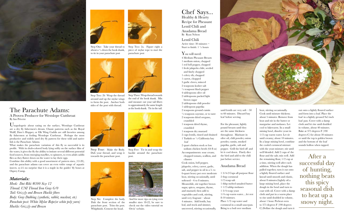

### The Parachute Adams: A Proven Producer for Westslope Cutthroat By Ian Privette

Unapologetic about eating on the surface, Westslope Cutthroat are a dry fly fishermen's dream. Classic patterns such as the Royal Wulff, Dave's Hopper, or Elk Wing Caddis are still favorites among fly fishermen at fooling Westslope Cutthroat. Perhaps the most productive and widely used dry fly pattern for these wild and native fish is the Parachute Adams.

What makes the parachute variation of this fly so successful is its profile. With its drab-colored body lying softly on the surface film of the water, it gives the fly the ability to imitate several different potential food sources, from emerging mayflies, to spinners, to even adult caddis flies as they flutter down on the water to lay their eggs.

Combine this ability with a good assortment of pattern sizes, (12-20), and the parachute adams can cover an even wider range of aquatic insects. so it's no surprise that it is a staple in the guides' fly boxes at Osprey Camp.

 $\frac{1}{2}$  teaspoon cayenne, or to taste 2 teaspoons dried oregano,

### *Materials:*

*Hook: Dai-Riki #300 Size 12 Thread: UNI Thread Iron Gray 6/0 Tail: Grizzly and Brown Hackle fibers Body: Gray Dubbing (synthetic, rabbit, muskrat, etc) Parachute post: White Mylar Rope(or white poly yarn) Hackle: Grizzly and Brown*



Chef Says... Healthy & Hearty Recipe for Pheasant

Lentil Chili and Anadama Bread By Ryan Nelson

Lentil Chili Active time: 30 minutes  $\sim$ Start to finish: 1 ½ hours

You will need:

4 Medium Pheasant Breasts 1 medium onion, chopped 1 red bell pepper, chopped 1 fresh jalapeño chile, seeded and finely chopped 1 celery rib, chopped 1 carrot, chopped 3 garlic cloves, minced 2 teaspoons kosher salt  $\frac{1}{2}$  teaspoon black pepper 4 tablespoons olive oil 2 tablespoons packed light brown sugar 2 tablespoons chili powder

1 tablespoon paprika 2 teaspoons ground cumin

- crumbled 1 teaspoon dried thyme, crumbled
- 1 teaspoon dry mustard

2 cups lentils, rinsed and drained 1 Turkish or ½ California bay leaf

2 quart chicken stock or low sodium chicken broth (64 fl oz) Accompaniments: sour cream; chopped tomato, scallion, and

 cilantro Cook onion, bell pepper,

jalapeño, celery, carrot, garlic, salt, and pepper in oil in a 5- to 6-quart heavy pot over moderate heat, stirring occasionally, until softened—6 to 8 minutes. Meanwhile, stir together brown sugar, spices, oregano, thyme, and mustard; then add to vegetables and cook, stirring, until very fragrant—about 4 minutes. Add lentils, bay leaf, and stock and simmer, uncovered, stirring occasionally,

to 60 minutes. Discard bay

leaf before serving.

For the pheasant, lightly pound breasts until they are the same thickness throughout. Marinate in olive oil, chili powder, onion powder, cumin, smoked paprika, garlic, salt and pepper. Grill the bird off and let it cool down. Finely dice the bird and add to the chili just before service.

#### Anadama Bread

1 3/4-2 Cups all purpose flour 2 tbsp cornmeal 1/2 teasp salt 1 tblsp melted unsalted butter 1 1/2 tablsp molasses 1 3/4 teasp yeast 1/4 cup warm water.....let rest 8-10 mintues. Place 1/2 cup water and cornmeal in a small saucepan. Bring to a boil over medium



Cook until mixture thickens; about 5 minutes. Remove from heat and stir in the butter or margarine and molasses. Let cool to lukewarm. In a small mixing bowl, dissolve yeast in 1/2 cup warm water. Let sit until creamy; about 10 minutes. In a large mixing bowl, combine the cooled cornmeal mixture with the yeast mixture; stir until well blended. Add 2 cups of the flour and the salt; mix well. Add the remaining flour, 1/2 cup at a time, stirring well after each addition. When the dough has pulled together, turn it out onto a lightly floured surface and knead until smooth and elastic, about 8 minutes.Lightly oil a large mixing bowl, place the dough in the bowl and turn to coat with oil. Cover with a damp cloth and put in a warm place to rise until doubled in volume, about 1 hour. Preheat oven to 375 degrees F (190 degrees C).Deflate the dough and turn it

and form into a loaf. Place the loaf in a lightly greased 9x5 inch loaf pan. Cover with a damp cloth and let rise until doubled in volume, about 40 minutes. Bake at 375 degrees F (190 degrees C) for about 30 minutes or until the top is golden brown and the bottom of the loaf sounds hollow when tapped.

Step One: Take your thread to about a  $\frac{1}{4}$  down the hook shank, to tie in your parachute post



Step Three: Wrap thread towards the end of the hook shank. Mix and measure out your tail fibers to approximately the same length as the hook shank. Tie in the tail.



Step Two: 2a. Figure eight a piece of mylar rope to start the parachute post



Step Four: Make the Body. Dub your thread, and wrap it towards the parachute post.



Step Two: 2b Wrap the thread around and up the mylar wings to form the post. Anchor both sides of the post with thread.



Step Five: Tie in and wrap the hackle around the parachute post.

Step Six: Complete the body. Dub the front section of the parachute post. Trim the post. Whipfinish. Cement the head.





And for more tips on tying even smaller sizes 18-22, be sure to check out the video tutorial on Orvis' website.

After a successful day of hunting, nothing beats this spicy seasonal dish to heat up a snowy night.